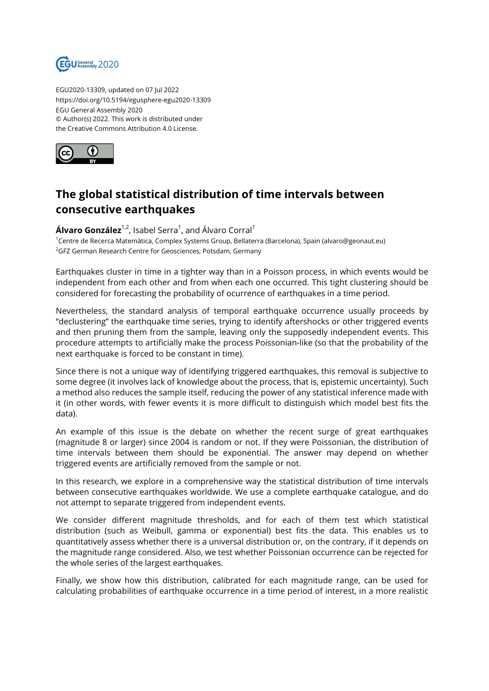

EGU2020-13309, updated on 07 Jul 2022 https://doi.org/10.5194/egusphere-egu2020-13309 EGU General Assembly 2020 © Author(s) 2022. This work is distributed under the Creative Commons Attribution 4.0 License.



## **The global statistical distribution of time intervals between consecutive earthquakes**

**Álvaro González**<sup>1,2</sup>, Isabel Serra<sup>1</sup>, and Álvaro Corral<sup>1</sup>

<sup>1</sup>Centre de Recerca Matemàtica, Complex Systems Group, Bellaterra (Barcelona), Spain (alvaro@geonaut.eu) <sup>2</sup>GFZ German Research Centre for Geosciences, Potsdam, Germany

Earthquakes cluster in time in a tighter way than in a Poisson process, in which events would be independent from each other and from when each one occurred. This tight clustering should be considered for forecasting the probability of ocurrence of earthquakes in a time period.

Nevertheless, the standard analysis of temporal earthquake occurrence usually proceeds by "declustering" the earthquake time series, trying to identify aftershocks or other triggered events and then pruning them from the sample, leaving only the supposedly independent events. This procedure attempts to artificially make the process Poissonian-like (so that the probability of the next earthquake is forced to be constant in time).

Since there is not a unique way of identifying triggered earthquakes, this removal is subjective to some degree (it involves lack of knowledge about the process, that is, epistemic uncertainty). Such a method also reduces the sample itself, reducing the power of any statistical inference made with it (in other words, with fewer events it is more difficult to distinguish which model best fits the data).

An example of this issue is the debate on whether the recent surge of great earthquakes (magnitude 8 or larger) since 2004 is random or not. If they were Poissonian, the distribution of time intervals between them should be exponential. The answer may depend on whether triggered events are artificially removed from the sample or not.

In this research, we explore in a comprehensive way the statistical distribution of time intervals between consecutive earthquakes worldwide. We use a complete earthquake catalogue, and do not attempt to separate triggered from independent events.

We consider different magnitude thresholds, and for each of them test which statistical distribution (such as Weibull, gamma or exponential) best fits the data. This enables us to quantitatively assess whether there is a universal distribution or, on the contrary, if it depends on the magnitude range considered. Also, we test whether Poissonian occurrence can be rejected for the whole series of the largest earthquakes.

Finally, we show how this distribution, calibrated for each magnitude range, can be used for calculating probabilities of earthquake occurrence in a time period of interest, in a more realistic